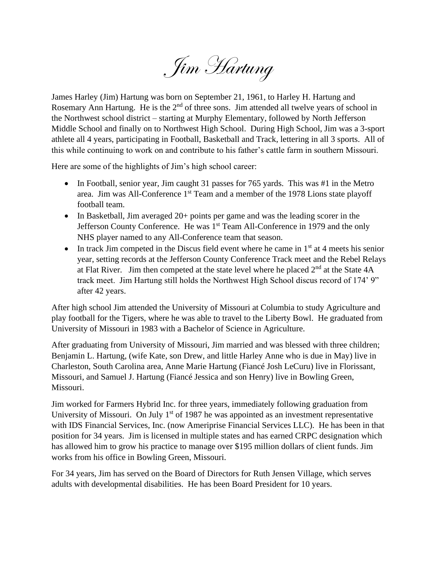Jim Hartung

James Harley (Jim) Hartung was born on September 21, 1961, to Harley H. Hartung and Rosemary Ann Hartung. He is the 2<sup>nd</sup> of three sons. Jim attended all twelve years of school in the Northwest school district – starting at Murphy Elementary, followed by North Jefferson Middle School and finally on to Northwest High School. During High School, Jim was a 3-sport athlete all 4 years, participating in Football, Basketball and Track, lettering in all 3 sports. All of this while continuing to work on and contribute to his father's cattle farm in southern Missouri.

Here are some of the highlights of Jim's high school career:

- In Football, senior year, Jim caught 31 passes for 765 yards. This was #1 in the Metro area. Jim was All-Conference  $1<sup>st</sup>$  Team and a member of the 1978 Lions state playoff football team.
- In Basketball, Jim averaged 20+ points per game and was the leading scorer in the Jefferson County Conference. He was 1<sup>st</sup> Team All-Conference in 1979 and the only NHS player named to any All-Conference team that season.
- In track Jim competed in the Discus field event where he came in  $1<sup>st</sup>$  at 4 meets his senior year, setting records at the Jefferson County Conference Track meet and the Rebel Relays at Flat River. Jim then competed at the state level where he placed  $2<sup>nd</sup>$  at the State 4A track meet. Jim Hartung still holds the Northwest High School discus record of 174' 9" after 42 years.

After high school Jim attended the University of Missouri at Columbia to study Agriculture and play football for the Tigers, where he was able to travel to the Liberty Bowl. He graduated from University of Missouri in 1983 with a Bachelor of Science in Agriculture.

After graduating from University of Missouri, Jim married and was blessed with three children; Benjamin L. Hartung, (wife Kate, son Drew, and little Harley Anne who is due in May) live in Charleston, South Carolina area, Anne Marie Hartung (Fiancé Josh LeCuru) live in Florissant, Missouri, and Samuel J. Hartung (Fiancé Jessica and son Henry) live in Bowling Green, Missouri.

Jim worked for Farmers Hybrid Inc. for three years, immediately following graduation from University of Missouri. On July  $1<sup>st</sup>$  of 1987 he was appointed as an investment representative with IDS Financial Services, Inc. (now Ameriprise Financial Services LLC). He has been in that position for 34 years. Jim is licensed in multiple states and has earned CRPC designation which has allowed him to grow his practice to manage over \$195 million dollars of client funds. Jim works from his office in Bowling Green, Missouri.

For 34 years, Jim has served on the Board of Directors for Ruth Jensen Village, which serves adults with developmental disabilities. He has been Board President for 10 years.